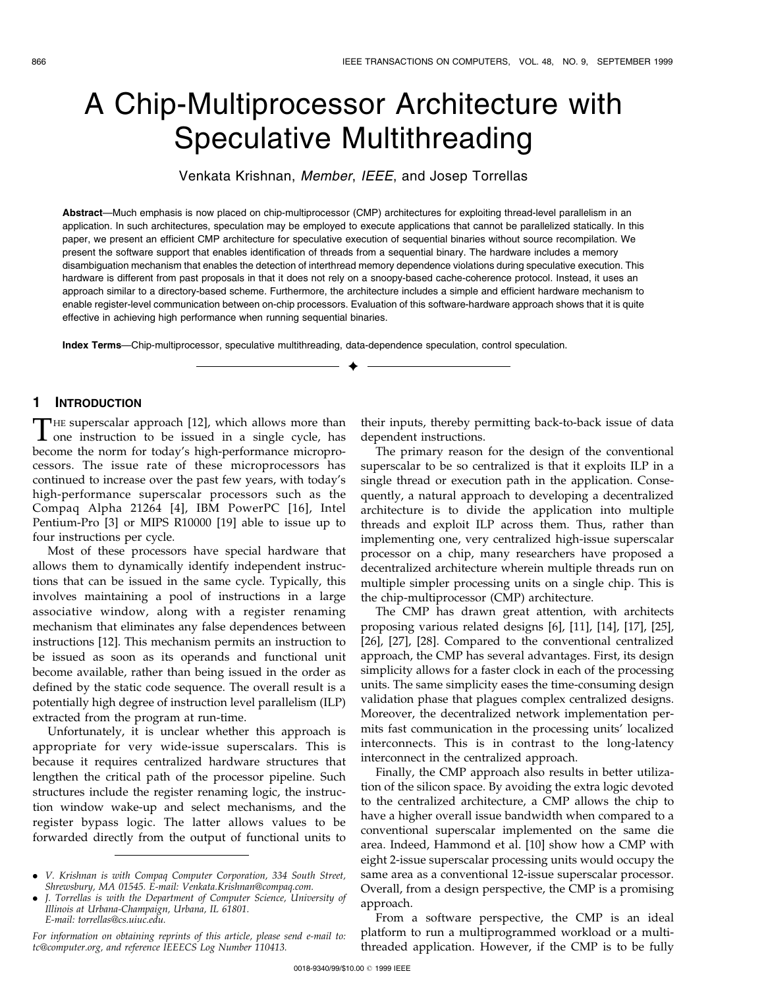# A Chip-Multiprocessor Architecture with Speculative Multithreading

Venkata Krishnan, Member, IEEE, and Josep Torrellas

Abstract—Much emphasis is now placed on chip-multiprocessor (CMP) architectures for exploiting thread-level parallelism in an application. In such architectures, speculation may be employed to execute applications that cannot be parallelized statically. In this paper, we present an efficient CMP architecture for speculative execution of sequential binaries without source recompilation. We present the software support that enables identification of threads from a sequential binary. The hardware includes a memory disambiguation mechanism that enables the detection of interthread memory dependence violations during speculative execution. This hardware is different from past proposals in that it does not rely on a snoopy-based cache-coherence protocol. Instead, it uses an approach similar to a directory-based scheme. Furthermore, the architecture includes a simple and efficient hardware mechanism to enable register-level communication between on-chip processors. Evaluation of this software-hardware approach shows that it is quite effective in achieving high performance when running sequential binaries.

æ

Index Terms-Chip-multiprocessor, speculative multithreading, data-dependence speculation, control speculation.

## 1 INTRODUCTION

THE superscalar approach [12], which allows more than<br>one instruction to be issued in a single cycle, has become the norm for today's high-performance microprocessors. The issue rate of these microprocessors has continued to increase over the past few years, with today's high-performance superscalar processors such as the Compaq Alpha 21264 [4], IBM PowerPC [16], Intel Pentium-Pro [3] or MIPS R10000 [19] able to issue up to four instructions per cycle.

Most of these processors have special hardware that allows them to dynamically identify independent instructions that can be issued in the same cycle. Typically, this involves maintaining a pool of instructions in a large associative window, along with a register renaming mechanism that eliminates any false dependences between instructions [12]. This mechanism permits an instruction to be issued as soon as its operands and functional unit become available, rather than being issued in the order as defined by the static code sequence. The overall result is a potentially high degree of instruction level parallelism (ILP) extracted from the program at run-time.

Unfortunately, it is unclear whether this approach is appropriate for very wide-issue superscalars. This is because it requires centralized hardware structures that lengthen the critical path of the processor pipeline. Such structures include the register renaming logic, the instruction window wake-up and select mechanisms, and the register bypass logic. The latter allows values to be forwarded directly from the output of functional units to

their inputs, thereby permitting back-to-back issue of data dependent instructions.

The primary reason for the design of the conventional superscalar to be so centralized is that it exploits ILP in a single thread or execution path in the application. Consequently, a natural approach to developing a decentralized architecture is to divide the application into multiple threads and exploit ILP across them. Thus, rather than implementing one, very centralized high-issue superscalar processor on a chip, many researchers have proposed a decentralized architecture wherein multiple threads run on multiple simpler processing units on a single chip. This is the chip-multiprocessor (CMP) architecture.

The CMP has drawn great attention, with architects proposing various related designs [6], [11], [14], [17], [25], [26], [27], [28]. Compared to the conventional centralized approach, the CMP has several advantages. First, its design simplicity allows for a faster clock in each of the processing units. The same simplicity eases the time-consuming design validation phase that plagues complex centralized designs. Moreover, the decentralized network implementation permits fast communication in the processing units' localized interconnects. This is in contrast to the long-latency interconnect in the centralized approach.

Finally, the CMP approach also results in better utilization of the silicon space. By avoiding the extra logic devoted to the centralized architecture, a CMP allows the chip to have a higher overall issue bandwidth when compared to a conventional superscalar implemented on the same die area. Indeed, Hammond et al. [10] show how a CMP with eight 2-issue superscalar processing units would occupy the same area as a conventional 12-issue superscalar processor. Overall, from a design perspective, the CMP is a promising approach.

From a software perspective, the CMP is an ideal platform to run a multiprogrammed workload or a multithreaded application. However, if the CMP is to be fully

<sup>.</sup> V. Krishnan is with Compaq Computer Corporation, 334 South Street, Shrewsbury, MA 01545. E-mail: Venkata.Krishnan@compaq.com.

<sup>.</sup> J. Torrellas is with the Department of Computer Science, University of Illinois at Urbana-Champaign, Urbana, IL 61801. E-mail: torrellas@cs.uiuc.edu.

For information on obtaining reprints of this article, please send e-mail to: tc@computer.org, and reference IEEECS Log Number 110413.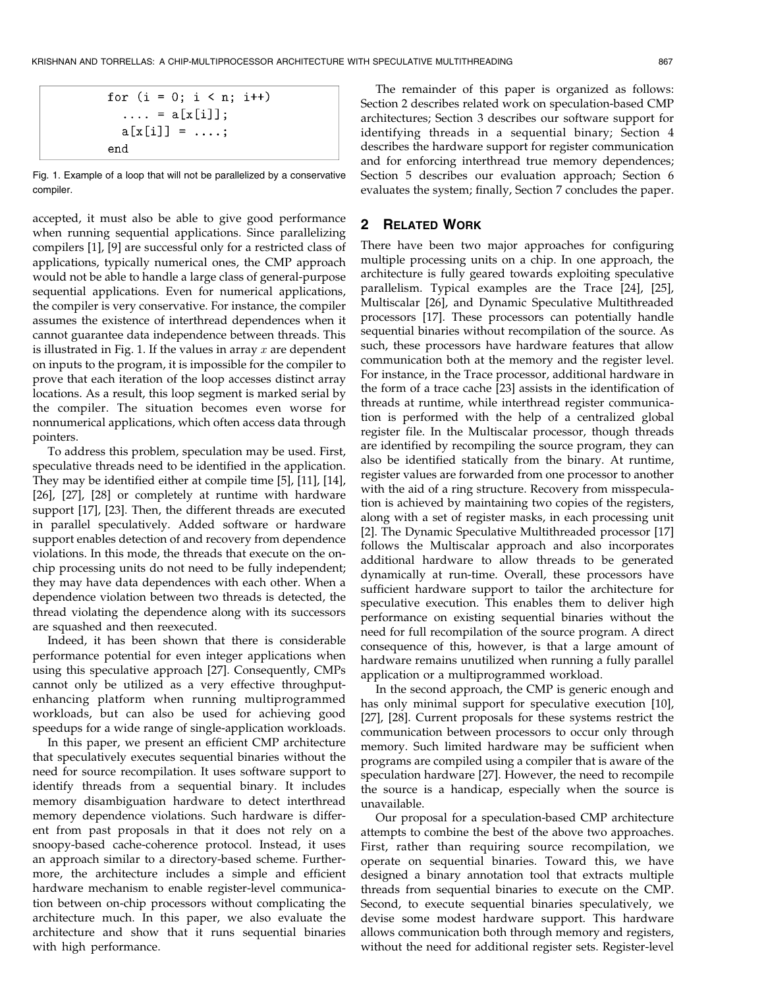| for $(i = 0; i < n; i++)$ |  |
|---------------------------|--|
| = $a[x[i]]$ ;             |  |
| $a[x[i]] = $              |  |
| end                       |  |

Fig. 1. Example of a loop that will not be parallelized by a conservative compiler.

accepted, it must also be able to give good performance when running sequential applications. Since parallelizing compilers [1], [9] are successful only for a restricted class of applications, typically numerical ones, the CMP approach would not be able to handle a large class of general-purpose sequential applications. Even for numerical applications, the compiler is very conservative. For instance, the compiler assumes the existence of interthread dependences when it cannot guarantee data independence between threads. This is illustrated in Fig. 1. If the values in array  $x$  are dependent on inputs to the program, it is impossible for the compiler to prove that each iteration of the loop accesses distinct array locations. As a result, this loop segment is marked serial by the compiler. The situation becomes even worse for nonnumerical applications, which often access data through pointers.

To address this problem, speculation may be used. First, speculative threads need to be identified in the application. They may be identified either at compile time [5], [11], [14], [26], [27], [28] or completely at runtime with hardware support [17], [23]. Then, the different threads are executed in parallel speculatively. Added software or hardware support enables detection of and recovery from dependence violations. In this mode, the threads that execute on the onchip processing units do not need to be fully independent; they may have data dependences with each other. When a dependence violation between two threads is detected, the thread violating the dependence along with its successors are squashed and then reexecuted.

Indeed, it has been shown that there is considerable performance potential for even integer applications when using this speculative approach [27]. Consequently, CMPs cannot only be utilized as a very effective throughputenhancing platform when running multiprogrammed workloads, but can also be used for achieving good speedups for a wide range of single-application workloads.

In this paper, we present an efficient CMP architecture that speculatively executes sequential binaries without the need for source recompilation. It uses software support to identify threads from a sequential binary. It includes memory disambiguation hardware to detect interthread memory dependence violations. Such hardware is different from past proposals in that it does not rely on a snoopy-based cache-coherence protocol. Instead, it uses an approach similar to a directory-based scheme. Furthermore, the architecture includes a simple and efficient hardware mechanism to enable register-level communication between on-chip processors without complicating the architecture much. In this paper, we also evaluate the architecture and show that it runs sequential binaries with high performance.

The remainder of this paper is organized as follows: Section 2 describes related work on speculation-based CMP architectures; Section 3 describes our software support for identifying threads in a sequential binary; Section 4 describes the hardware support for register communication and for enforcing interthread true memory dependences; Section 5 describes our evaluation approach; Section 6 evaluates the system; finally, Section 7 concludes the paper.

# 2 RELATED WORK

There have been two major approaches for configuring multiple processing units on a chip. In one approach, the architecture is fully geared towards exploiting speculative parallelism. Typical examples are the Trace [24], [25], Multiscalar [26], and Dynamic Speculative Multithreaded processors [17]. These processors can potentially handle sequential binaries without recompilation of the source. As such, these processors have hardware features that allow communication both at the memory and the register level. For instance, in the Trace processor, additional hardware in the form of a trace cache [23] assists in the identification of threads at runtime, while interthread register communication is performed with the help of a centralized global register file. In the Multiscalar processor, though threads are identified by recompiling the source program, they can also be identified statically from the binary. At runtime, register values are forwarded from one processor to another with the aid of a ring structure. Recovery from misspeculation is achieved by maintaining two copies of the registers, along with a set of register masks, in each processing unit [2]. The Dynamic Speculative Multithreaded processor [17] follows the Multiscalar approach and also incorporates additional hardware to allow threads to be generated dynamically at run-time. Overall, these processors have sufficient hardware support to tailor the architecture for speculative execution. This enables them to deliver high performance on existing sequential binaries without the need for full recompilation of the source program. A direct consequence of this, however, is that a large amount of hardware remains unutilized when running a fully parallel application or a multiprogrammed workload.

In the second approach, the CMP is generic enough and has only minimal support for speculative execution [10], [27], [28]. Current proposals for these systems restrict the communication between processors to occur only through memory. Such limited hardware may be sufficient when programs are compiled using a compiler that is aware of the speculation hardware [27]. However, the need to recompile the source is a handicap, especially when the source is unavailable.

Our proposal for a speculation-based CMP architecture attempts to combine the best of the above two approaches. First, rather than requiring source recompilation, we operate on sequential binaries. Toward this, we have designed a binary annotation tool that extracts multiple threads from sequential binaries to execute on the CMP. Second, to execute sequential binaries speculatively, we devise some modest hardware support. This hardware allows communication both through memory and registers, without the need for additional register sets. Register-level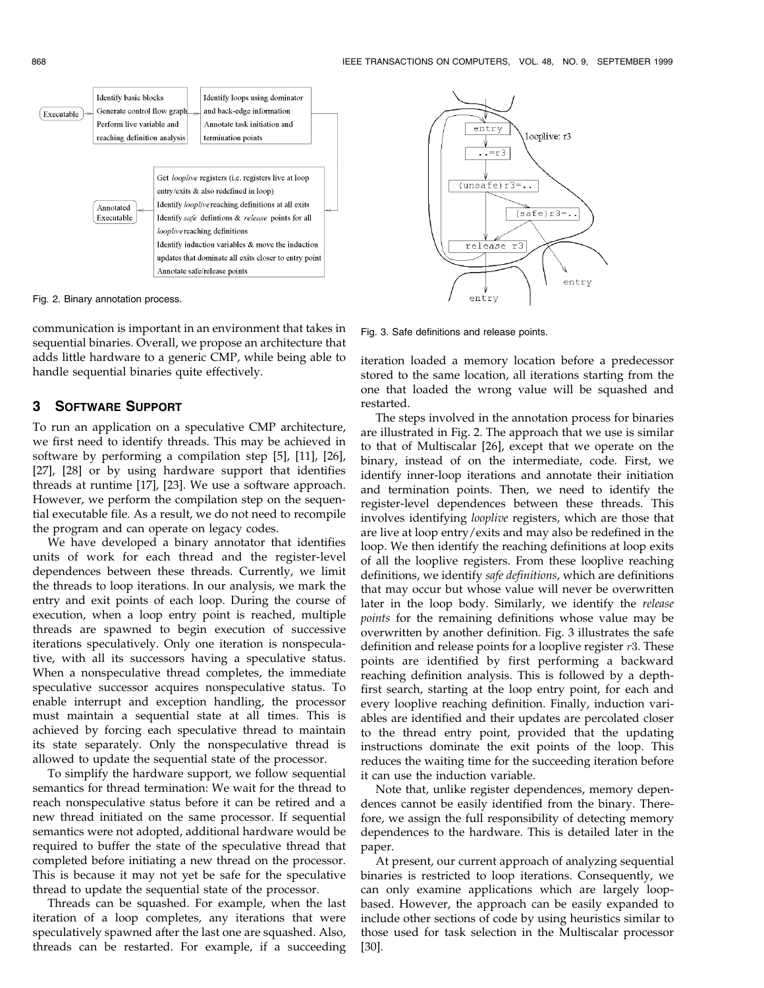

Fig. 2. Binary annotation process.

communication is important in an environment that takes in sequential binaries. Overall, we propose an architecture that adds little hardware to a generic CMP, while being able to handle sequential binaries quite effectively.

# 3 SOFTWARE SUPPORT

To run an application on a speculative CMP architecture, we first need to identify threads. This may be achieved in software by performing a compilation step [5], [11], [26], [27], [28] or by using hardware support that identifies threads at runtime [17], [23]. We use a software approach. However, we perform the compilation step on the sequential executable file. As a result, we do not need to recompile the program and can operate on legacy codes.

We have developed a binary annotator that identifies units of work for each thread and the register-level dependences between these threads. Currently, we limit the threads to loop iterations. In our analysis, we mark the entry and exit points of each loop. During the course of execution, when a loop entry point is reached, multiple threads are spawned to begin execution of successive iterations speculatively. Only one iteration is nonspeculative, with all its successors having a speculative status. When a nonspeculative thread completes, the immediate speculative successor acquires nonspeculative status. To enable interrupt and exception handling, the processor must maintain a sequential state at all times. This is achieved by forcing each speculative thread to maintain its state separately. Only the nonspeculative thread is allowed to update the sequential state of the processor.

To simplify the hardware support, we follow sequential semantics for thread termination: We wait for the thread to reach nonspeculative status before it can be retired and a new thread initiated on the same processor. If sequential semantics were not adopted, additional hardware would be required to buffer the state of the speculative thread that completed before initiating a new thread on the processor. This is because it may not yet be safe for the speculative thread to update the sequential state of the processor.

Threads can be squashed. For example, when the last iteration of a loop completes, any iterations that were speculatively spawned after the last one are squashed. Also, threads can be restarted. For example, if a succeeding



Fig. 3. Safe definitions and release points.

iteration loaded a memory location before a predecessor stored to the same location, all iterations starting from the one that loaded the wrong value will be squashed and restarted.

The steps involved in the annotation process for binaries are illustrated in Fig. 2. The approach that we use is similar to that of Multiscalar [26], except that we operate on the binary, instead of on the intermediate, code. First, we identify inner-loop iterations and annotate their initiation and termination points. Then, we need to identify the register-level dependences between these threads. This involves identifying looplive registers, which are those that are live at loop entry/exits and may also be redefined in the loop. We then identify the reaching definitions at loop exits of all the looplive registers. From these looplive reaching definitions, we identify safe definitions, which are definitions that may occur but whose value will never be overwritten later in the loop body. Similarly, we identify the release points for the remaining definitions whose value may be overwritten by another definition. Fig. 3 illustrates the safe definition and release points for a looplive register  $r3$ . These points are identified by first performing a backward reaching definition analysis. This is followed by a depthfirst search, starting at the loop entry point, for each and every looplive reaching definition. Finally, induction variables are identified and their updates are percolated closer to the thread entry point, provided that the updating instructions dominate the exit points of the loop. This reduces the waiting time for the succeeding iteration before it can use the induction variable.

Note that, unlike register dependences, memory dependences cannot be easily identified from the binary. Therefore, we assign the full responsibility of detecting memory dependences to the hardware. This is detailed later in the paper.

At present, our current approach of analyzing sequential binaries is restricted to loop iterations. Consequently, we can only examine applications which are largely loopbased. However, the approach can be easily expanded to include other sections of code by using heuristics similar to those used for task selection in the Multiscalar processor [30].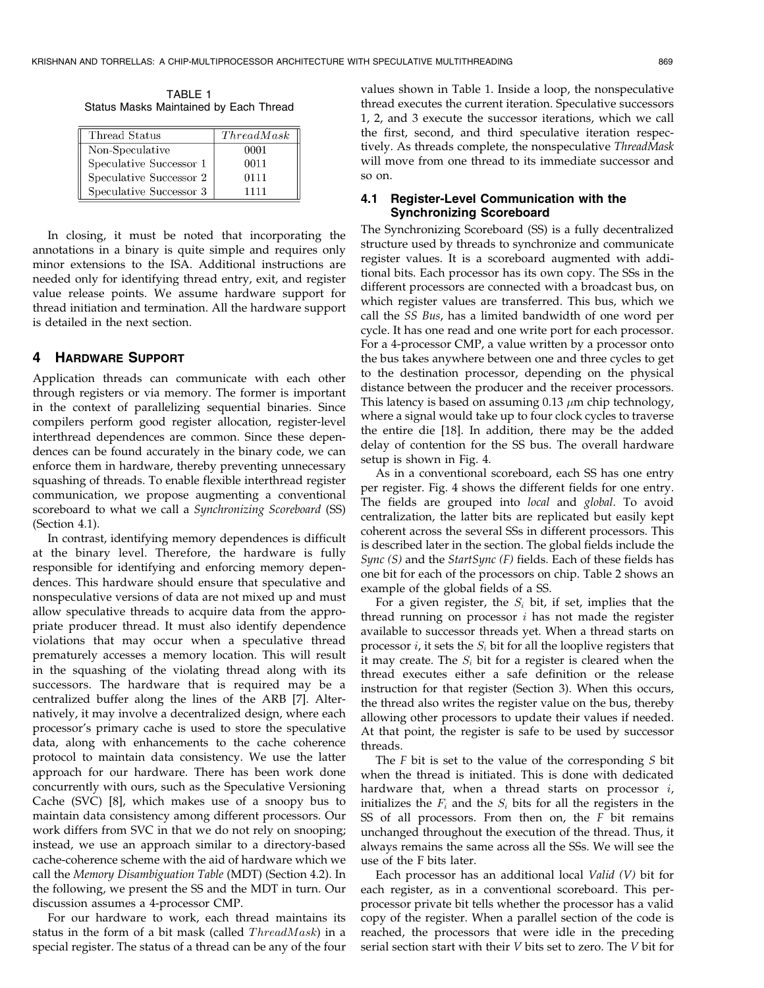TABLE 1 Status Masks Maintained by Each Thread

| Thread Status           | ThreadMask |
|-------------------------|------------|
| Non-Speculative         | 0001       |
| Speculative Successor 1 | 0011       |
| Speculative Successor 2 | 0111       |
| Speculative Successor 3 | 1111       |

In closing, it must be noted that incorporating the annotations in a binary is quite simple and requires only minor extensions to the ISA. Additional instructions are needed only for identifying thread entry, exit, and register value release points. We assume hardware support for thread initiation and termination. All the hardware support is detailed in the next section.

# 4 HARDWARE SUPPORT

Application threads can communicate with each other through registers or via memory. The former is important in the context of parallelizing sequential binaries. Since compilers perform good register allocation, register-level interthread dependences are common. Since these dependences can be found accurately in the binary code, we can enforce them in hardware, thereby preventing unnecessary squashing of threads. To enable flexible interthread register communication, we propose augmenting a conventional scoreboard to what we call a Synchronizing Scoreboard (SS) (Section 4.1).

In contrast, identifying memory dependences is difficult at the binary level. Therefore, the hardware is fully responsible for identifying and enforcing memory dependences. This hardware should ensure that speculative and nonspeculative versions of data are not mixed up and must allow speculative threads to acquire data from the appropriate producer thread. It must also identify dependence violations that may occur when a speculative thread prematurely accesses a memory location. This will result in the squashing of the violating thread along with its successors. The hardware that is required may be a centralized buffer along the lines of the ARB [7]. Alternatively, it may involve a decentralized design, where each processor's primary cache is used to store the speculative data, along with enhancements to the cache coherence protocol to maintain data consistency. We use the latter approach for our hardware. There has been work done concurrently with ours, such as the Speculative Versioning Cache (SVC) [8], which makes use of a snoopy bus to maintain data consistency among different processors. Our work differs from SVC in that we do not rely on snooping; instead, we use an approach similar to a directory-based cache-coherence scheme with the aid of hardware which we call the Memory Disambiguation Table (MDT) (Section 4.2). In the following, we present the SS and the MDT in turn. Our discussion assumes a 4-processor CMP.

For our hardware to work, each thread maintains its status in the form of a bit mask (called  $ThreadMask$ ) in a special register. The status of a thread can be any of the four values shown in Table 1. Inside a loop, the nonspeculative thread executes the current iteration. Speculative successors 1, 2, and 3 execute the successor iterations, which we call the first, second, and third speculative iteration respectively. As threads complete, the nonspeculative ThreadMask will move from one thread to its immediate successor and so on.

# 4.1 Register-Level Communication with the Synchronizing Scoreboard

The Synchronizing Scoreboard (SS) is a fully decentralized structure used by threads to synchronize and communicate register values. It is a scoreboard augmented with additional bits. Each processor has its own copy. The SSs in the different processors are connected with a broadcast bus, on which register values are transferred. This bus, which we call the SS Bus, has a limited bandwidth of one word per cycle. It has one read and one write port for each processor. For a 4-processor CMP, a value written by a processor onto the bus takes anywhere between one and three cycles to get to the destination processor, depending on the physical distance between the producer and the receiver processors. This latency is based on assuming  $0.13 \mu m$  chip technology, where a signal would take up to four clock cycles to traverse the entire die [18]. In addition, there may be the added delay of contention for the SS bus. The overall hardware setup is shown in Fig. 4.

As in a conventional scoreboard, each SS has one entry per register. Fig. 4 shows the different fields for one entry. The fields are grouped into *local* and *global*. To avoid centralization, the latter bits are replicated but easily kept coherent across the several SSs in different processors. This is described later in the section. The global fields include the Sync (S) and the StartSync (F) fields. Each of these fields has one bit for each of the processors on chip. Table 2 shows an example of the global fields of a SS.

For a given register, the  $S_i$  bit, if set, implies that the thread running on processor  $i$  has not made the register available to successor threads yet. When a thread starts on processor  $i$ , it sets the  $S_i$  bit for all the looplive registers that it may create. The  $S_i$  bit for a register is cleared when the thread executes either a safe definition or the release instruction for that register (Section 3). When this occurs, the thread also writes the register value on the bus, thereby allowing other processors to update their values if needed. At that point, the register is safe to be used by successor threads.

The  $F$  bit is set to the value of the corresponding  $S$  bit when the thread is initiated. This is done with dedicated hardware that, when a thread starts on processor  $i$ , initializes the  $F_i$  and the  $S_i$  bits for all the registers in the SS of all processors. From then on, the F bit remains unchanged throughout the execution of the thread. Thus, it always remains the same across all the SSs. We will see the use of the F bits later.

Each processor has an additional local Valid (V) bit for each register, as in a conventional scoreboard. This perprocessor private bit tells whether the processor has a valid copy of the register. When a parallel section of the code is reached, the processors that were idle in the preceding serial section start with their V bits set to zero. The V bit for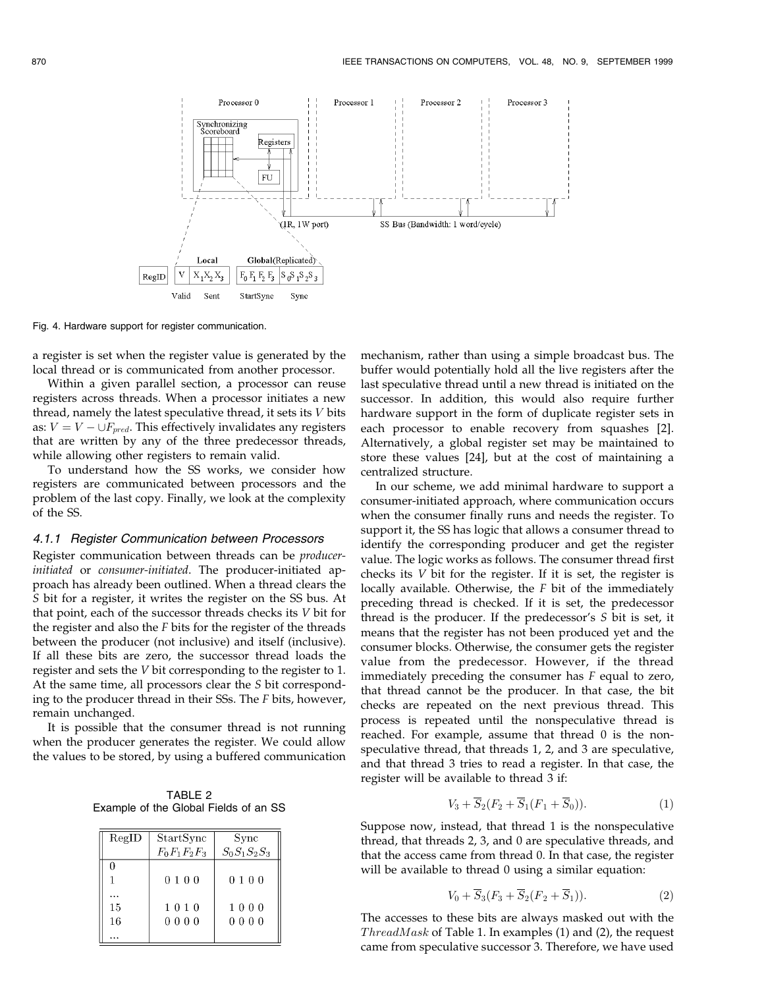

Fig. 4. Hardware support for register communication.

a register is set when the register value is generated by the local thread or is communicated from another processor.

Within a given parallel section, a processor can reuse registers across threads. When a processor initiates a new thread, namely the latest speculative thread, it sets its  $V$  bits as:  $V = V - \bigcup F_{\text{pred}}$ . This effectively invalidates any registers that are written by any of the three predecessor threads, while allowing other registers to remain valid.

To understand how the SS works, we consider how registers are communicated between processors and the problem of the last copy. Finally, we look at the complexity of the SS.

#### 4.1.1 Register Communication between Processors

Register communication between threads can be *producer*initiated or consumer-initiated. The producer-initiated approach has already been outlined. When a thread clears the S bit for a register, it writes the register on the SS bus. At that point, each of the successor threads checks its V bit for the register and also the  $F$  bits for the register of the threads between the producer (not inclusive) and itself (inclusive). If all these bits are zero, the successor thread loads the register and sets the V bit corresponding to the register to 1. At the same time, all processors clear the S bit corresponding to the producer thread in their SSs. The F bits, however, remain unchanged.

It is possible that the consumer thread is not running when the producer generates the register. We could allow the values to be stored, by using a buffered communication

TABLE 2 Example of the Global Fields of an SS

| RegID        | StartSync      | Sync           |
|--------------|----------------|----------------|
|              | $F_0F_1F_2F_3$ | $S_0S_1S_2S_3$ |
| $\Omega$     |                |                |
| $\mathbf{1}$ | 0100           | 0100           |
|              |                |                |
| 15           | 1010           | 1000           |
| 16           | 0000           | 0000           |
|              |                |                |

mechanism, rather than using a simple broadcast bus. The buffer would potentially hold all the live registers after the last speculative thread until a new thread is initiated on the successor. In addition, this would also require further hardware support in the form of duplicate register sets in each processor to enable recovery from squashes [2]. Alternatively, a global register set may be maintained to store these values [24], but at the cost of maintaining a centralized structure.

In our scheme, we add minimal hardware to support a consumer-initiated approach, where communication occurs when the consumer finally runs and needs the register. To support it, the SS has logic that allows a consumer thread to identify the corresponding producer and get the register value. The logic works as follows. The consumer thread first checks its V bit for the register. If it is set, the register is locally available. Otherwise, the F bit of the immediately preceding thread is checked. If it is set, the predecessor thread is the producer. If the predecessor's S bit is set, it means that the register has not been produced yet and the consumer blocks. Otherwise, the consumer gets the register value from the predecessor. However, if the thread immediately preceding the consumer has F equal to zero, that thread cannot be the producer. In that case, the bit checks are repeated on the next previous thread. This process is repeated until the nonspeculative thread is reached. For example, assume that thread 0 is the nonspeculative thread, that threads 1, 2, and 3 are speculative, and that thread 3 tries to read a register. In that case, the register will be available to thread 3 if:

$$
V_3 + \overline{S}_2 (F_2 + \overline{S}_1 (F_1 + \overline{S}_0)).
$$
\n(1)

Suppose now, instead, that thread 1 is the nonspeculative thread, that threads 2, 3, and 0 are speculative threads, and that the access came from thread 0. In that case, the register will be available to thread 0 using a similar equation:

$$
V_0 + \overline{S}_3(F_3 + \overline{S}_2(F_2 + \overline{S}_1)).
$$
\n(2)

The accesses to these bits are always masked out with the  $ThreadMask$  of Table 1. In examples (1) and (2), the request came from speculative successor 3. Therefore, we have used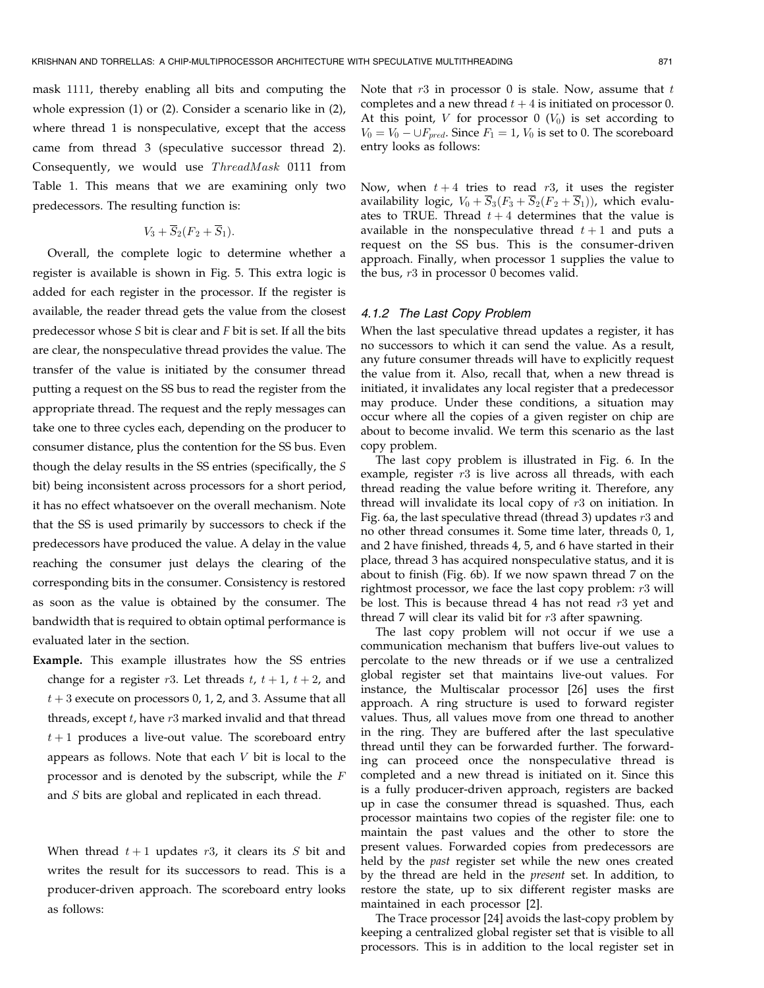mask 1111, thereby enabling all bits and computing the whole expression (1) or (2). Consider a scenario like in (2), where thread 1 is nonspeculative, except that the access came from thread 3 (speculative successor thread 2). Consequently, we would use  $ThreadMask$  0111 from Table 1. This means that we are examining only two predecessors. The resulting function is:

$$
V_3+\overline{S}_2(F_2+\overline{S}_1).
$$

Overall, the complete logic to determine whether a register is available is shown in Fig. 5. This extra logic is added for each register in the processor. If the register is available, the reader thread gets the value from the closest predecessor whose S bit is clear and F bit is set. If all the bits are clear, the nonspeculative thread provides the value. The transfer of the value is initiated by the consumer thread putting a request on the SS bus to read the register from the appropriate thread. The request and the reply messages can take one to three cycles each, depending on the producer to consumer distance, plus the contention for the SS bus. Even though the delay results in the SS entries (specifically, the S bit) being inconsistent across processors for a short period, it has no effect whatsoever on the overall mechanism. Note that the SS is used primarily by successors to check if the predecessors have produced the value. A delay in the value reaching the consumer just delays the clearing of the corresponding bits in the consumer. Consistency is restored as soon as the value is obtained by the consumer. The bandwidth that is required to obtain optimal performance is evaluated later in the section.

Example. This example illustrates how the SS entries change for a register  $r3$ . Let threads  $t$ ,  $t + 1$ ,  $t + 2$ , and  $t + 3$  execute on processors 0, 1, 2, and 3. Assume that all threads, except  $t$ , have  $r3$  marked invalid and that thread  $t+1$  produces a live-out value. The scoreboard entry appears as follows. Note that each  $V$  bit is local to the processor and is denoted by the subscript, while the F and S bits are global and replicated in each thread.

When thread  $t + 1$  updates r3, it clears its S bit and writes the result for its successors to read. This is a producer-driven approach. The scoreboard entry looks as follows:

Note that  $r3$  in processor 0 is stale. Now, assume that  $t$ completes and a new thread  $t + 4$  is initiated on processor 0. At this point, V for processor  $0$  ( $V_0$ ) is set according to  $V_0 = V_0 - \bigcup F_{pred}$ . Since  $F_1 = 1$ ,  $V_0$  is set to 0. The scoreboard entry looks as follows:

Now, when  $t+4$  tries to read r3, it uses the register availability logic,  $V_0 + \overline{S}_3(F_3 + \overline{S}_2(F_2 + \overline{S}_1))$ , which evaluates to TRUE. Thread  $t + 4$  determines that the value is available in the nonspeculative thread  $t+1$  and puts a request on the SS bus. This is the consumer-driven approach. Finally, when processor 1 supplies the value to the bus,  $r3$  in processor 0 becomes valid.

#### 4.1.2 The Last Copy Problem

When the last speculative thread updates a register, it has no successors to which it can send the value. As a result, any future consumer threads will have to explicitly request the value from it. Also, recall that, when a new thread is initiated, it invalidates any local register that a predecessor may produce. Under these conditions, a situation may occur where all the copies of a given register on chip are about to become invalid. We term this scenario as the last copy problem.

The last copy problem is illustrated in Fig. 6. In the example, register  $r3$  is live across all threads, with each thread reading the value before writing it. Therefore, any thread will invalidate its local copy of  $r3$  on initiation. In Fig. 6a, the last speculative thread (thread 3) updates  $r3$  and no other thread consumes it. Some time later, threads 0, 1, and 2 have finished, threads 4, 5, and 6 have started in their place, thread 3 has acquired nonspeculative status, and it is about to finish (Fig. 6b). If we now spawn thread 7 on the rightmost processor, we face the last copy problem: r3 will be lost. This is because thread 4 has not read  $r3$  yet and thread 7 will clear its valid bit for  $r3$  after spawning.

The last copy problem will not occur if we use a communication mechanism that buffers live-out values to percolate to the new threads or if we use a centralized global register set that maintains live-out values. For instance, the Multiscalar processor [26] uses the first approach. A ring structure is used to forward register values. Thus, all values move from one thread to another in the ring. They are buffered after the last speculative thread until they can be forwarded further. The forwarding can proceed once the nonspeculative thread is completed and a new thread is initiated on it. Since this is a fully producer-driven approach, registers are backed up in case the consumer thread is squashed. Thus, each processor maintains two copies of the register file: one to maintain the past values and the other to store the present values. Forwarded copies from predecessors are held by the past register set while the new ones created by the thread are held in the present set. In addition, to restore the state, up to six different register masks are maintained in each processor [2].

The Trace processor [24] avoids the last-copy problem by keeping a centralized global register set that is visible to all processors. This is in addition to the local register set in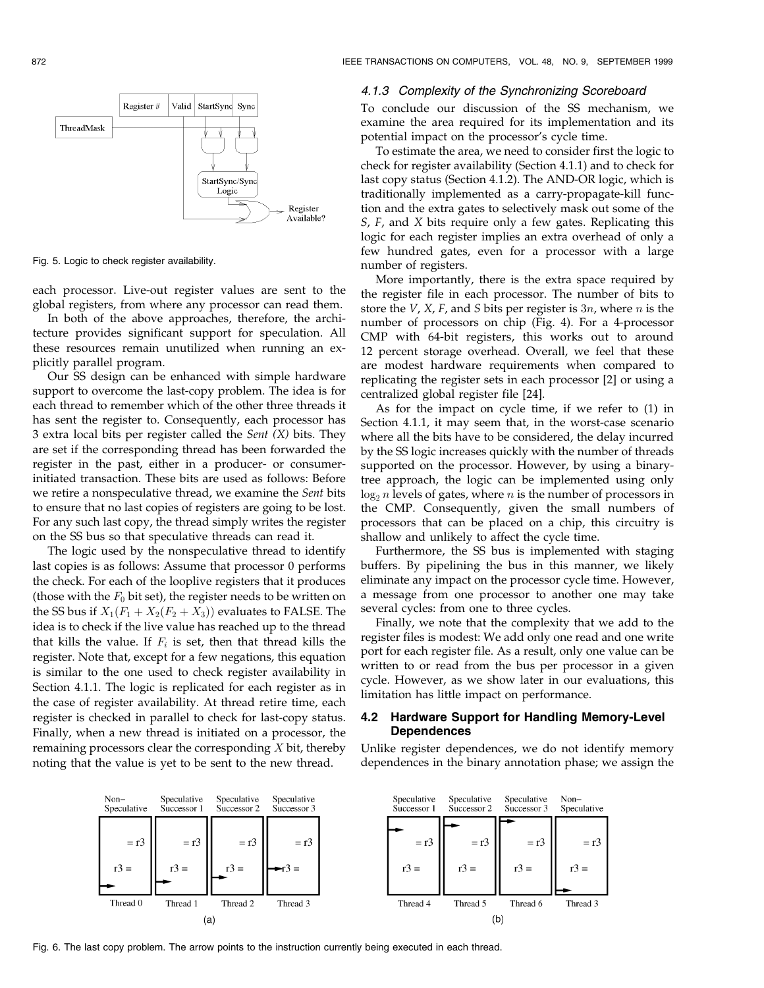

Fig. 5. Logic to check register availability.

each processor. Live-out register values are sent to the global registers, from where any processor can read them.

In both of the above approaches, therefore, the architecture provides significant support for speculation. All these resources remain unutilized when running an explicitly parallel program.

Our SS design can be enhanced with simple hardware support to overcome the last-copy problem. The idea is for each thread to remember which of the other three threads it has sent the register to. Consequently, each processor has 3 extra local bits per register called the Sent (X) bits. They are set if the corresponding thread has been forwarded the register in the past, either in a producer- or consumerinitiated transaction. These bits are used as follows: Before we retire a nonspeculative thread, we examine the Sent bits to ensure that no last copies of registers are going to be lost. For any such last copy, the thread simply writes the register on the SS bus so that speculative threads can read it.

The logic used by the nonspeculative thread to identify last copies is as follows: Assume that processor 0 performs the check. For each of the looplive registers that it produces (those with the  $F_0$  bit set), the register needs to be written on the SS bus if  $X_1(F_1 + X_2(F_2 + X_3))$  evaluates to FALSE. The idea is to check if the live value has reached up to the thread that kills the value. If  $F_i$  is set, then that thread kills the register. Note that, except for a few negations, this equation is similar to the one used to check register availability in Section 4.1.1. The logic is replicated for each register as in the case of register availability. At thread retire time, each register is checked in parallel to check for last-copy status. Finally, when a new thread is initiated on a processor, the remaining processors clear the corresponding  $X$  bit, thereby noting that the value is yet to be sent to the new thread.

#### 4.1.3 Complexity of the Synchronizing Scoreboard

To conclude our discussion of the SS mechanism, we examine the area required for its implementation and its potential impact on the processor's cycle time.

To estimate the area, we need to consider first the logic to check for register availability (Section 4.1.1) and to check for last copy status (Section 4.1.2). The AND-OR logic, which is traditionally implemented as a carry-propagate-kill function and the extra gates to selectively mask out some of the  $S$ ,  $F$ , and  $X$  bits require only a few gates. Replicating this logic for each register implies an extra overhead of only a few hundred gates, even for a processor with a large number of registers.

More importantly, there is the extra space required by the register file in each processor. The number of bits to store the *V*, *X*, *F*, and *S* bits per register is  $3n$ , where *n* is the number of processors on chip (Fig. 4). For a 4-processor CMP with 64-bit registers, this works out to around 12 percent storage overhead. Overall, we feel that these are modest hardware requirements when compared to replicating the register sets in each processor [2] or using a centralized global register file [24].

As for the impact on cycle time, if we refer to (1) in Section 4.1.1, it may seem that, in the worst-case scenario where all the bits have to be considered, the delay incurred by the SS logic increases quickly with the number of threads supported on the processor. However, by using a binarytree approach, the logic can be implemented using only  $\log_2 n$  levels of gates, where *n* is the number of processors in the CMP. Consequently, given the small numbers of processors that can be placed on a chip, this circuitry is shallow and unlikely to affect the cycle time.

Furthermore, the SS bus is implemented with staging buffers. By pipelining the bus in this manner, we likely eliminate any impact on the processor cycle time. However, a message from one processor to another one may take several cycles: from one to three cycles.

Finally, we note that the complexity that we add to the register files is modest: We add only one read and one write port for each register file. As a result, only one value can be written to or read from the bus per processor in a given cycle. However, as we show later in our evaluations, this limitation has little impact on performance.

# 4.2 Hardware Support for Handling Memory-Level Dependences

Unlike register dependences, we do not identify memory dependences in the binary annotation phase; we assign the



Fig. 6. The last copy problem. The arrow points to the instruction currently being executed in each thread.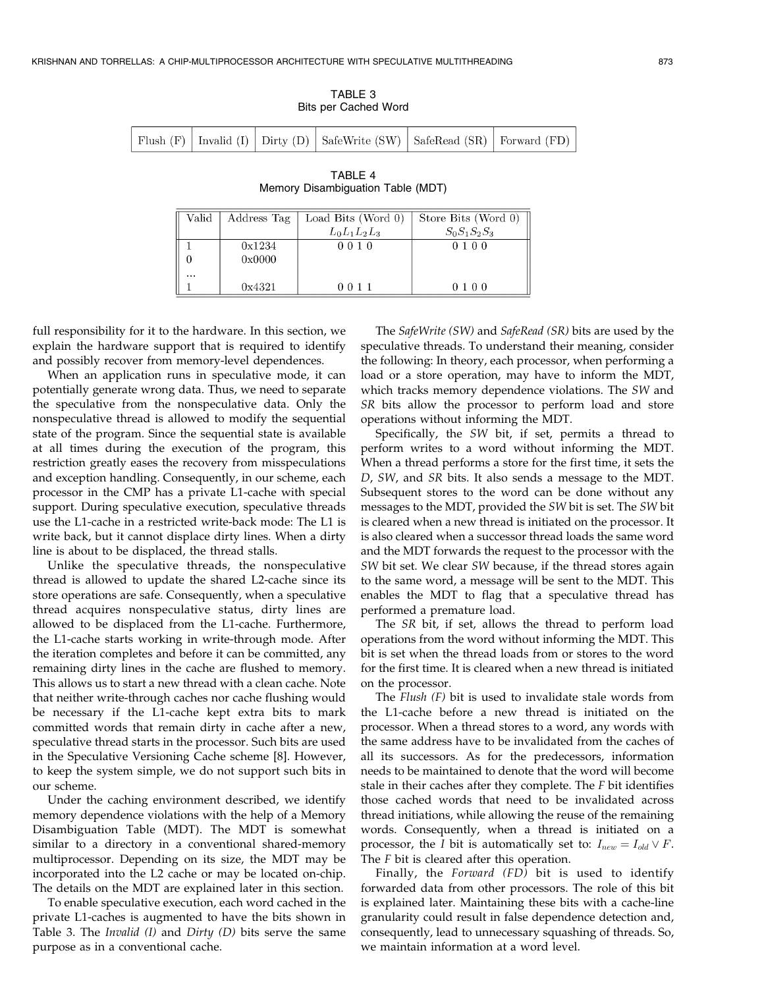| TABLE 3                     |  |  |  |  |
|-----------------------------|--|--|--|--|
| <b>Bits per Cached Word</b> |  |  |  |  |

|  |  |  | Flush (F)   Invalid (I)   Dirty (D)   SafeWrite (SW)   SafeRead (SR)   Forward (FD) |  |  |
|--|--|--|-------------------------------------------------------------------------------------|--|--|
|--|--|--|-------------------------------------------------------------------------------------|--|--|

TABLE 4 Memory Disambiguation Table (MDT)

| Valid    | Address Tag | Load Bits (Word 0) | Store Bits (Word 0) |
|----------|-------------|--------------------|---------------------|
|          |             | $L_0L_1L_2L_3$     | $S_0S_1S_2S_3$      |
|          | 0x1234      | 0010               | 0100                |
|          | 0x0000      |                    |                     |
| $\cdots$ |             |                    |                     |
|          | 0x4321      | 0011               | 0100                |

full responsibility for it to the hardware. In this section, we explain the hardware support that is required to identify and possibly recover from memory-level dependences.

When an application runs in speculative mode, it can potentially generate wrong data. Thus, we need to separate the speculative from the nonspeculative data. Only the nonspeculative thread is allowed to modify the sequential state of the program. Since the sequential state is available at all times during the execution of the program, this restriction greatly eases the recovery from misspeculations and exception handling. Consequently, in our scheme, each processor in the CMP has a private L1-cache with special support. During speculative execution, speculative threads use the L1-cache in a restricted write-back mode: The L1 is write back, but it cannot displace dirty lines. When a dirty line is about to be displaced, the thread stalls.

Unlike the speculative threads, the nonspeculative thread is allowed to update the shared L2-cache since its store operations are safe. Consequently, when a speculative thread acquires nonspeculative status, dirty lines are allowed to be displaced from the L1-cache. Furthermore, the L1-cache starts working in write-through mode. After the iteration completes and before it can be committed, any remaining dirty lines in the cache are flushed to memory. This allows us to start a new thread with a clean cache. Note that neither write-through caches nor cache flushing would be necessary if the L1-cache kept extra bits to mark committed words that remain dirty in cache after a new, speculative thread starts in the processor. Such bits are used in the Speculative Versioning Cache scheme [8]. However, to keep the system simple, we do not support such bits in our scheme.

Under the caching environment described, we identify memory dependence violations with the help of a Memory Disambiguation Table (MDT). The MDT is somewhat similar to a directory in a conventional shared-memory multiprocessor. Depending on its size, the MDT may be incorporated into the L2 cache or may be located on-chip. The details on the MDT are explained later in this section.

To enable speculative execution, each word cached in the private L1-caches is augmented to have the bits shown in Table 3. The Invalid (I) and Dirty (D) bits serve the same purpose as in a conventional cache.

The SafeWrite (SW) and SafeRead (SR) bits are used by the speculative threads. To understand their meaning, consider the following: In theory, each processor, when performing a load or a store operation, may have to inform the MDT, which tracks memory dependence violations. The SW and SR bits allow the processor to perform load and store operations without informing the MDT.

Specifically, the SW bit, if set, permits a thread to perform writes to a word without informing the MDT. When a thread performs a store for the first time, it sets the D, SW, and SR bits. It also sends a message to the MDT. Subsequent stores to the word can be done without any messages to the MDT, provided the SW bit is set. The SW bit is cleared when a new thread is initiated on the processor. It is also cleared when a successor thread loads the same word and the MDT forwards the request to the processor with the SW bit set. We clear SW because, if the thread stores again to the same word, a message will be sent to the MDT. This enables the MDT to flag that a speculative thread has performed a premature load.

The SR bit, if set, allows the thread to perform load operations from the word without informing the MDT. This bit is set when the thread loads from or stores to the word for the first time. It is cleared when a new thread is initiated on the processor.

The Flush (F) bit is used to invalidate stale words from the L1-cache before a new thread is initiated on the processor. When a thread stores to a word, any words with the same address have to be invalidated from the caches of all its successors. As for the predecessors, information needs to be maintained to denote that the word will become stale in their caches after they complete. The F bit identifies those cached words that need to be invalidated across thread initiations, while allowing the reuse of the remaining words. Consequently, when a thread is initiated on a processor, the I bit is automatically set to:  $I_{new} = I_{old} \vee F$ . The *F* bit is cleared after this operation.

Finally, the Forward (FD) bit is used to identify forwarded data from other processors. The role of this bit is explained later. Maintaining these bits with a cache-line granularity could result in false dependence detection and, consequently, lead to unnecessary squashing of threads. So, we maintain information at a word level.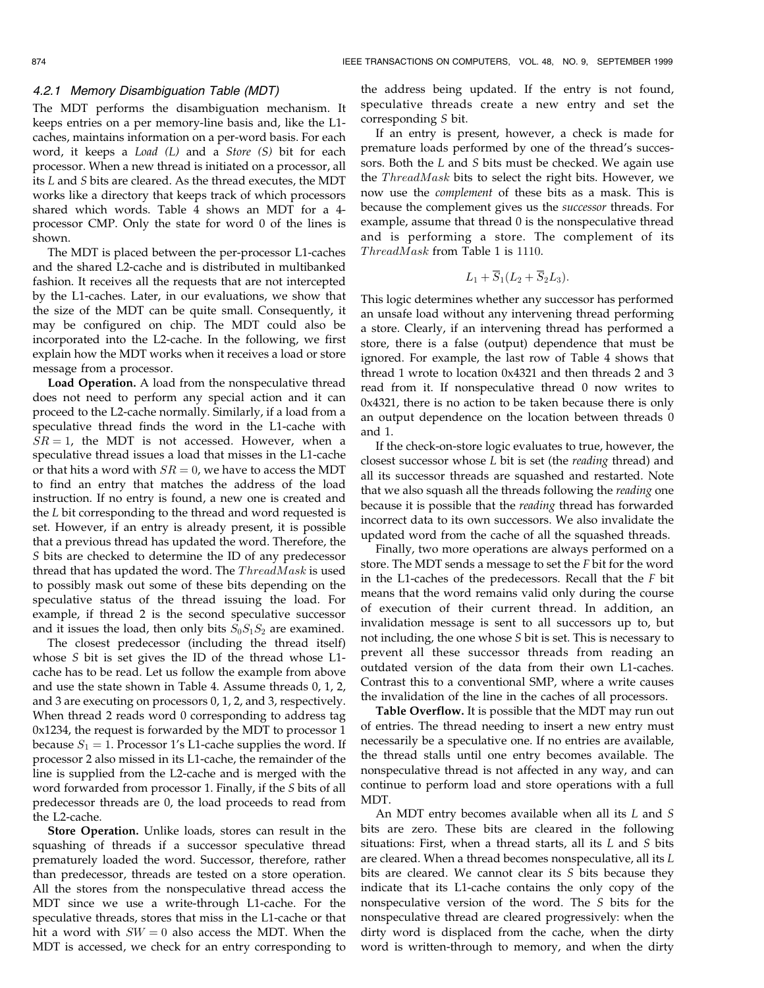#### 4.2.1 Memory Disambiguation Table (MDT)

The MDT performs the disambiguation mechanism. It keeps entries on a per memory-line basis and, like the L1 caches, maintains information on a per-word basis. For each word, it keeps a Load (L) and a Store (S) bit for each processor. When a new thread is initiated on a processor, all its L and S bits are cleared. As the thread executes, the MDT works like a directory that keeps track of which processors shared which words. Table 4 shows an MDT for a 4 processor CMP. Only the state for word 0 of the lines is shown.

The MDT is placed between the per-processor L1-caches and the shared L2-cache and is distributed in multibanked fashion. It receives all the requests that are not intercepted by the L1-caches. Later, in our evaluations, we show that the size of the MDT can be quite small. Consequently, it may be configured on chip. The MDT could also be incorporated into the L2-cache. In the following, we first explain how the MDT works when it receives a load or store message from a processor.

Load Operation. A load from the nonspeculative thread does not need to perform any special action and it can proceed to the L2-cache normally. Similarly, if a load from a speculative thread finds the word in the L1-cache with  $SR = 1$ , the MDT is not accessed. However, when a speculative thread issues a load that misses in the L1-cache or that hits a word with  $SR = 0$ , we have to access the MDT to find an entry that matches the address of the load instruction. If no entry is found, a new one is created and the L bit corresponding to the thread and word requested is set. However, if an entry is already present, it is possible that a previous thread has updated the word. Therefore, the S bits are checked to determine the ID of any predecessor thread that has updated the word. The  $ThreadMask$  is used to possibly mask out some of these bits depending on the speculative status of the thread issuing the load. For example, if thread 2 is the second speculative successor and it issues the load, then only bits  $S_0S_1S_2$  are examined.

The closest predecessor (including the thread itself) whose S bit is set gives the ID of the thread whose L1 cache has to be read. Let us follow the example from above and use the state shown in Table 4. Assume threads 0, 1, 2, and 3 are executing on processors 0, 1, 2, and 3, respectively. When thread 2 reads word 0 corresponding to address tag 0x1234, the request is forwarded by the MDT to processor 1 because  $S_1 = 1$ . Processor 1's L1-cache supplies the word. If processor 2 also missed in its L1-cache, the remainder of the line is supplied from the L2-cache and is merged with the word forwarded from processor 1. Finally, if the S bits of all predecessor threads are 0, the load proceeds to read from the L2-cache.

Store Operation. Unlike loads, stores can result in the squashing of threads if a successor speculative thread prematurely loaded the word. Successor, therefore, rather than predecessor, threads are tested on a store operation. All the stores from the nonspeculative thread access the MDT since we use a write-through L1-cache. For the speculative threads, stores that miss in the L1-cache or that hit a word with  $SW = 0$  also access the MDT. When the MDT is accessed, we check for an entry corresponding to

the address being updated. If the entry is not found, speculative threads create a new entry and set the corresponding S bit.

If an entry is present, however, a check is made for premature loads performed by one of the thread's successors. Both the L and S bits must be checked. We again use the ThreadMask bits to select the right bits. However, we now use the complement of these bits as a mask. This is because the complement gives us the successor threads. For example, assume that thread 0 is the nonspeculative thread and is performing a store. The complement of its  $ThreadMask$  from Table 1 is 1110.

$$
L_1+\overline{S}_1(L_2+\overline{S}_2L_3).
$$

This logic determines whether any successor has performed an unsafe load without any intervening thread performing a store. Clearly, if an intervening thread has performed a store, there is a false (output) dependence that must be ignored. For example, the last row of Table 4 shows that thread 1 wrote to location 0x4321 and then threads 2 and 3 read from it. If nonspeculative thread 0 now writes to 0x4321, there is no action to be taken because there is only an output dependence on the location between threads 0 and 1.

If the check-on-store logic evaluates to true, however, the closest successor whose L bit is set (the reading thread) and all its successor threads are squashed and restarted. Note that we also squash all the threads following the reading one because it is possible that the reading thread has forwarded incorrect data to its own successors. We also invalidate the updated word from the cache of all the squashed threads.

Finally, two more operations are always performed on a store. The MDT sends a message to set the F bit for the word in the L1-caches of the predecessors. Recall that the F bit means that the word remains valid only during the course of execution of their current thread. In addition, an invalidation message is sent to all successors up to, but not including, the one whose S bit is set. This is necessary to prevent all these successor threads from reading an outdated version of the data from their own L1-caches. Contrast this to a conventional SMP, where a write causes the invalidation of the line in the caches of all processors.

Table Overflow. It is possible that the MDT may run out of entries. The thread needing to insert a new entry must necessarily be a speculative one. If no entries are available, the thread stalls until one entry becomes available. The nonspeculative thread is not affected in any way, and can continue to perform load and store operations with a full MDT.

An MDT entry becomes available when all its L and S bits are zero. These bits are cleared in the following situations: First, when a thread starts, all its  $L$  and  $S$  bits are cleared. When a thread becomes nonspeculative, all its L bits are cleared. We cannot clear its S bits because they indicate that its L1-cache contains the only copy of the nonspeculative version of the word. The S bits for the nonspeculative thread are cleared progressively: when the dirty word is displaced from the cache, when the dirty word is written-through to memory, and when the dirty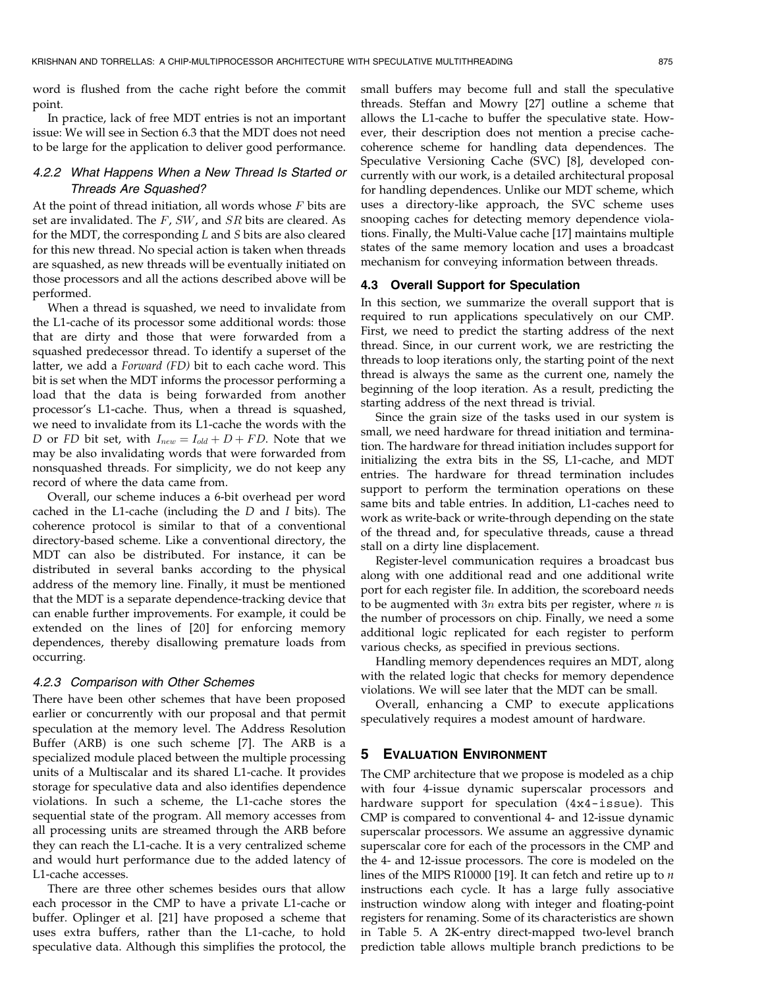word is flushed from the cache right before the commit point.

In practice, lack of free MDT entries is not an important issue: We will see in Section 6.3 that the MDT does not need to be large for the application to deliver good performance.

# 4.2.2 What Happens When a New Thread Is Started or Threads Are Squashed?

At the point of thread initiation, all words whose  $F$  bits are set are invalidated. The  $F$ ,  $SW$ , and  $SR$  bits are cleared. As for the MDT, the corresponding L and S bits are also cleared for this new thread. No special action is taken when threads are squashed, as new threads will be eventually initiated on those processors and all the actions described above will be performed.

When a thread is squashed, we need to invalidate from the L1-cache of its processor some additional words: those that are dirty and those that were forwarded from a squashed predecessor thread. To identify a superset of the latter, we add a Forward (FD) bit to each cache word. This bit is set when the MDT informs the processor performing a load that the data is being forwarded from another processor's L1-cache. Thus, when a thread is squashed, we need to invalidate from its L1-cache the words with the D or FD bit set, with  $I_{new} = I_{old} + D + FD$ . Note that we may be also invalidating words that were forwarded from nonsquashed threads. For simplicity, we do not keep any record of where the data came from.

Overall, our scheme induces a 6-bit overhead per word cached in the L1-cache (including the  $D$  and  $I$  bits). The coherence protocol is similar to that of a conventional directory-based scheme. Like a conventional directory, the MDT can also be distributed. For instance, it can be distributed in several banks according to the physical address of the memory line. Finally, it must be mentioned that the MDT is a separate dependence-tracking device that can enable further improvements. For example, it could be extended on the lines of [20] for enforcing memory dependences, thereby disallowing premature loads from occurring.

#### 4.2.3 Comparison with Other Schemes

There have been other schemes that have been proposed earlier or concurrently with our proposal and that permit speculation at the memory level. The Address Resolution Buffer (ARB) is one such scheme [7]. The ARB is a specialized module placed between the multiple processing units of a Multiscalar and its shared L1-cache. It provides storage for speculative data and also identifies dependence violations. In such a scheme, the L1-cache stores the sequential state of the program. All memory accesses from all processing units are streamed through the ARB before they can reach the L1-cache. It is a very centralized scheme and would hurt performance due to the added latency of L1-cache accesses.

There are three other schemes besides ours that allow each processor in the CMP to have a private L1-cache or buffer. Oplinger et al. [21] have proposed a scheme that uses extra buffers, rather than the L1-cache, to hold speculative data. Although this simplifies the protocol, the small buffers may become full and stall the speculative threads. Steffan and Mowry [27] outline a scheme that allows the L1-cache to buffer the speculative state. However, their description does not mention a precise cachecoherence scheme for handling data dependences. The Speculative Versioning Cache (SVC) [8], developed concurrently with our work, is a detailed architectural proposal for handling dependences. Unlike our MDT scheme, which uses a directory-like approach, the SVC scheme uses snooping caches for detecting memory dependence violations. Finally, the Multi-Value cache [17] maintains multiple states of the same memory location and uses a broadcast mechanism for conveying information between threads.

# 4.3 Overall Support for Speculation

In this section, we summarize the overall support that is required to run applications speculatively on our CMP. First, we need to predict the starting address of the next thread. Since, in our current work, we are restricting the threads to loop iterations only, the starting point of the next thread is always the same as the current one, namely the beginning of the loop iteration. As a result, predicting the starting address of the next thread is trivial.

Since the grain size of the tasks used in our system is small, we need hardware for thread initiation and termination. The hardware for thread initiation includes support for initializing the extra bits in the SS, L1-cache, and MDT entries. The hardware for thread termination includes support to perform the termination operations on these same bits and table entries. In addition, L1-caches need to work as write-back or write-through depending on the state of the thread and, for speculative threads, cause a thread stall on a dirty line displacement.

Register-level communication requires a broadcast bus along with one additional read and one additional write port for each register file. In addition, the scoreboard needs to be augmented with  $3n$  extra bits per register, where  $n$  is the number of processors on chip. Finally, we need a some additional logic replicated for each register to perform various checks, as specified in previous sections.

Handling memory dependences requires an MDT, along with the related logic that checks for memory dependence violations. We will see later that the MDT can be small.

Overall, enhancing a CMP to execute applications speculatively requires a modest amount of hardware.

# 5 EVALUATION ENVIRONMENT

The CMP architecture that we propose is modeled as a chip with four 4-issue dynamic superscalar processors and hardware support for speculation (4x4-issue). This CMP is compared to conventional 4- and 12-issue dynamic superscalar processors. We assume an aggressive dynamic superscalar core for each of the processors in the CMP and the 4- and 12-issue processors. The core is modeled on the lines of the MIPS R10000 [19]. It can fetch and retire up to  $n$ instructions each cycle. It has a large fully associative instruction window along with integer and floating-point registers for renaming. Some of its characteristics are shown in Table 5. A 2K-entry direct-mapped two-level branch prediction table allows multiple branch predictions to be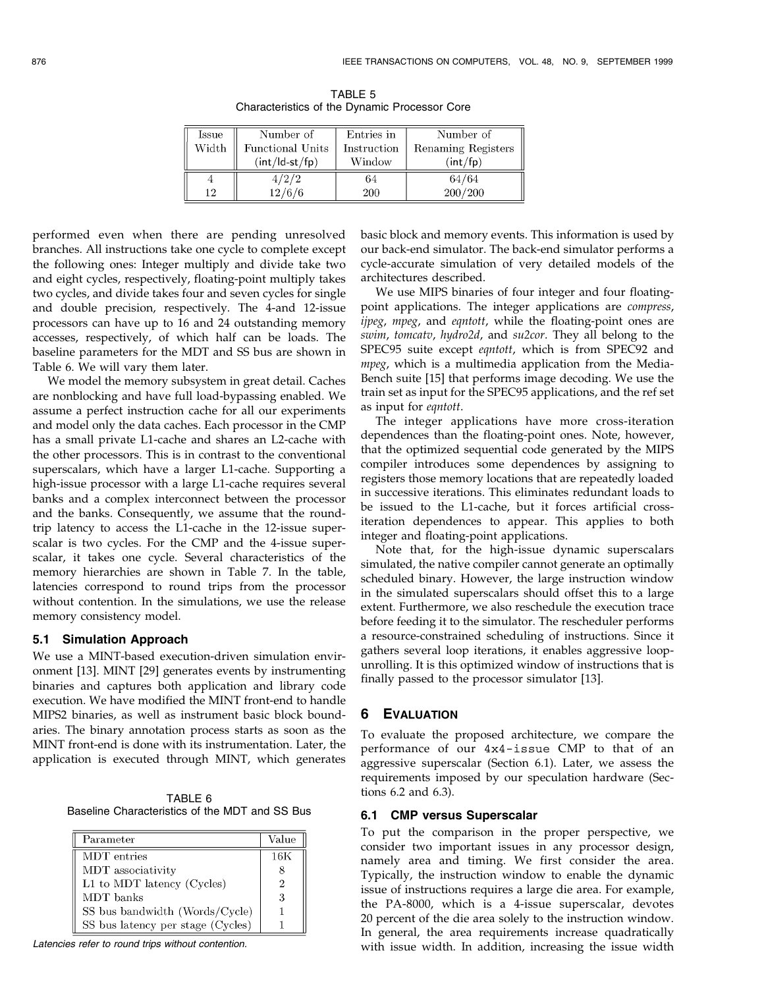| Issue | Number of          | Entries in  | Number of          |
|-------|--------------------|-------------|--------------------|
| Width | Functional Units   | Instruction | Renaming Registers |
|       | $(int/Id - st/fp)$ | Window      | (int/fp)           |
|       | 4/2/2              | 64          | 64/64              |
| 12    | 12/6/6             | <b>200</b>  | 200/200            |

TABLE 5 Characteristics of the Dynamic Processor Core

performed even when there are pending unresolved branches. All instructions take one cycle to complete except the following ones: Integer multiply and divide take two and eight cycles, respectively, floating-point multiply takes two cycles, and divide takes four and seven cycles for single and double precision, respectively. The 4-and 12-issue processors can have up to 16 and 24 outstanding memory accesses, respectively, of which half can be loads. The baseline parameters for the MDT and SS bus are shown in Table 6. We will vary them later.

We model the memory subsystem in great detail. Caches are nonblocking and have full load-bypassing enabled. We assume a perfect instruction cache for all our experiments and model only the data caches. Each processor in the CMP has a small private L1-cache and shares an L2-cache with the other processors. This is in contrast to the conventional superscalars, which have a larger L1-cache. Supporting a high-issue processor with a large L1-cache requires several banks and a complex interconnect between the processor and the banks. Consequently, we assume that the roundtrip latency to access the L1-cache in the 12-issue superscalar is two cycles. For the CMP and the 4-issue superscalar, it takes one cycle. Several characteristics of the memory hierarchies are shown in Table 7. In the table, latencies correspond to round trips from the processor without contention. In the simulations, we use the release memory consistency model.

#### 5.1 Simulation Approach

We use a MINT-based execution-driven simulation environment [13]. MINT [29] generates events by instrumenting binaries and captures both application and library code execution. We have modified the MINT front-end to handle MIPS2 binaries, as well as instrument basic block boundaries. The binary annotation process starts as soon as the MINT front-end is done with its instrumentation. Later, the application is executed through MINT, which generates

TABLE 6 Baseline Characteristics of the MDT and SS Bus

| Parameter                         | Value |
|-----------------------------------|-------|
| MDT entries                       | 16K   |
| MDT associativity                 |       |
| L1 to MDT latency (Cycles)        | 2     |
| MDT banks                         | 3     |
| SS bus bandwidth (Words/Cycle)    |       |
| SS bus latency per stage (Cycles) |       |

Latencies refer to round trips without contention.

basic block and memory events. This information is used by our back-end simulator. The back-end simulator performs a cycle-accurate simulation of very detailed models of the architectures described.

We use MIPS binaries of four integer and four floatingpoint applications. The integer applications are compress, ijpeg, mpeg, and eqntott, while the floating-point ones are swim, tomcatv, hydro2d, and su2cor. They all belong to the SPEC95 suite except eqntott, which is from SPEC92 and mpeg, which is a multimedia application from the Media-Bench suite [15] that performs image decoding. We use the train set as input for the SPEC95 applications, and the ref set as input for eqntott.

The integer applications have more cross-iteration dependences than the floating-point ones. Note, however, that the optimized sequential code generated by the MIPS compiler introduces some dependences by assigning to registers those memory locations that are repeatedly loaded in successive iterations. This eliminates redundant loads to be issued to the L1-cache, but it forces artificial crossiteration dependences to appear. This applies to both integer and floating-point applications.

Note that, for the high-issue dynamic superscalars simulated, the native compiler cannot generate an optimally scheduled binary. However, the large instruction window in the simulated superscalars should offset this to a large extent. Furthermore, we also reschedule the execution trace before feeding it to the simulator. The rescheduler performs a resource-constrained scheduling of instructions. Since it gathers several loop iterations, it enables aggressive loopunrolling. It is this optimized window of instructions that is finally passed to the processor simulator [13].

# 6 EVALUATION

To evaluate the proposed architecture, we compare the performance of our 4x4-issue CMP to that of an aggressive superscalar (Section 6.1). Later, we assess the requirements imposed by our speculation hardware (Sections 6.2 and 6.3).

#### 6.1 CMP versus Superscalar

To put the comparison in the proper perspective, we consider two important issues in any processor design, namely area and timing. We first consider the area. Typically, the instruction window to enable the dynamic issue of instructions requires a large die area. For example, the PA-8000, which is a 4-issue superscalar, devotes 20 percent of the die area solely to the instruction window. In general, the area requirements increase quadratically with issue width. In addition, increasing the issue width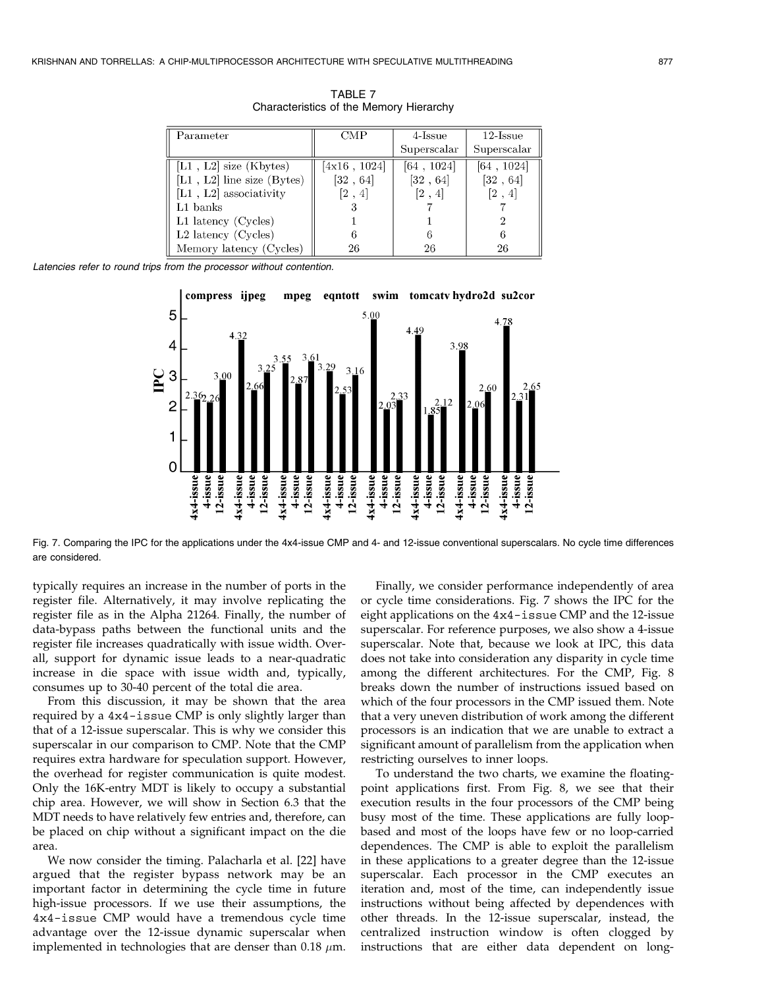| Parameter                         | CMP                            | 4-Issue                    | 12-Issue                   |
|-----------------------------------|--------------------------------|----------------------------|----------------------------|
|                                   |                                | Superscalar                | Superscalar                |
| $[L1, L2]$ size (Kbytes)          | [4x16, 1024]                   | [64, 1024]                 | [64, 1024]                 |
| [ $L1$ , $L2$ ] line size (Bytes) | [32, 64]                       | [32, 64]                   | [32, 64]                   |
| $[L1, L2]$ associativity          | $\lbrack 2 \rbrack, 4 \rbrack$ | $\left[2\right], 4\right]$ | $\left[2\right], 4\right]$ |
| L1 banks                          |                                |                            |                            |
| L1 latency (Cycles)               |                                |                            | 2                          |
| $L2$ latency (Cycles)             | 6                              | 6                          | 6                          |
| Memory latency (Cycles)           | 26                             | 26                         | 26                         |

TABLE 7 Characteristics of the Memory Hierarchy

Latencies refer to round trips from the processor without contention.



Fig. 7. Comparing the IPC for the applications under the 4x4-issue CMP and 4- and 12-issue conventional superscalars. No cycle time differences are considered.

typically requires an increase in the number of ports in the register file. Alternatively, it may involve replicating the register file as in the Alpha 21264. Finally, the number of data-bypass paths between the functional units and the register file increases quadratically with issue width. Overall, support for dynamic issue leads to a near-quadratic increase in die space with issue width and, typically, consumes up to 30-40 percent of the total die area.

From this discussion, it may be shown that the area required by a 4x4-issue CMP is only slightly larger than that of a 12-issue superscalar. This is why we consider this superscalar in our comparison to CMP. Note that the CMP requires extra hardware for speculation support. However, the overhead for register communication is quite modest. Only the 16K-entry MDT is likely to occupy a substantial chip area. However, we will show in Section 6.3 that the MDT needs to have relatively few entries and, therefore, can be placed on chip without a significant impact on the die area.

We now consider the timing. Palacharla et al. [22] have argued that the register bypass network may be an important factor in determining the cycle time in future high-issue processors. If we use their assumptions, the 4x4-issue CMP would have a tremendous cycle time advantage over the 12-issue dynamic superscalar when implemented in technologies that are denser than 0.18  $\mu$ m.

Finally, we consider performance independently of area or cycle time considerations. Fig. 7 shows the IPC for the eight applications on the 4x4-issue CMP and the 12-issue superscalar. For reference purposes, we also show a 4-issue superscalar. Note that, because we look at IPC, this data does not take into consideration any disparity in cycle time among the different architectures. For the CMP, Fig. 8 breaks down the number of instructions issued based on which of the four processors in the CMP issued them. Note that a very uneven distribution of work among the different processors is an indication that we are unable to extract a significant amount of parallelism from the application when restricting ourselves to inner loops.

To understand the two charts, we examine the floatingpoint applications first. From Fig. 8, we see that their execution results in the four processors of the CMP being busy most of the time. These applications are fully loopbased and most of the loops have few or no loop-carried dependences. The CMP is able to exploit the parallelism in these applications to a greater degree than the 12-issue superscalar. Each processor in the CMP executes an iteration and, most of the time, can independently issue instructions without being affected by dependences with other threads. In the 12-issue superscalar, instead, the centralized instruction window is often clogged by instructions that are either data dependent on long-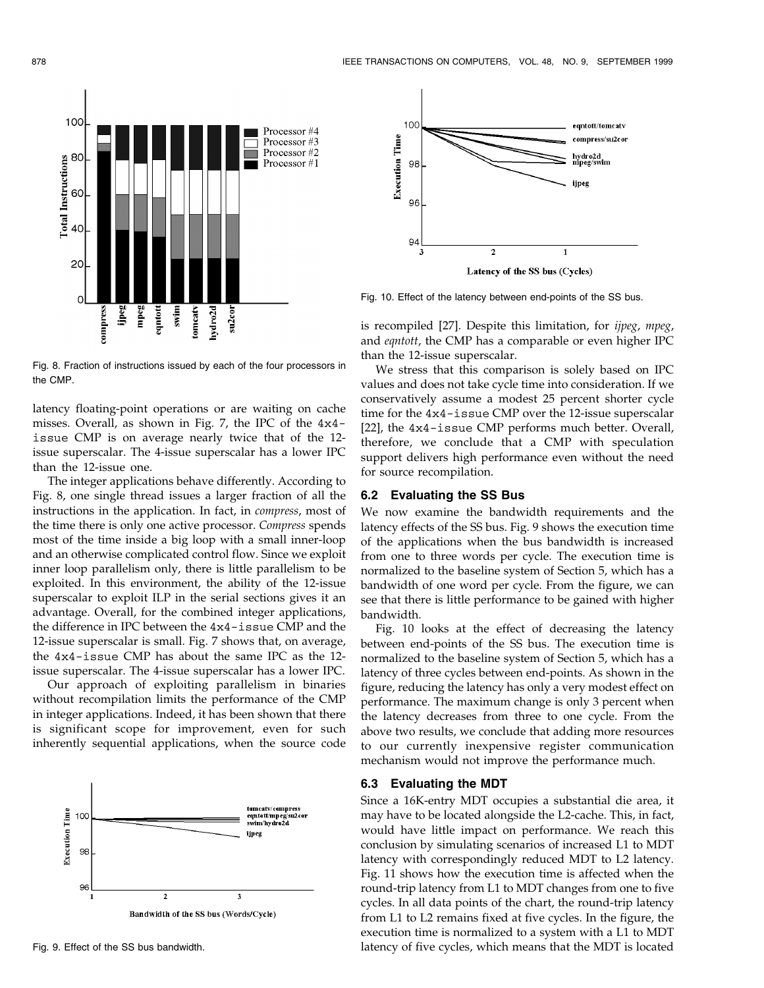

Fig. 8. Fraction of instructions issued by each of the four processors in the CMP.

latency floating-point operations or are waiting on cache misses. Overall, as shown in Fig. 7, the IPC of the 4x4 issue CMP is on average nearly twice that of the 12 issue superscalar. The 4-issue superscalar has a lower IPC than the 12-issue one.

The integer applications behave differently. According to Fig. 8, one single thread issues a larger fraction of all the instructions in the application. In fact, in compress, most of the time there is only one active processor. Compress spends most of the time inside a big loop with a small inner-loop and an otherwise complicated control flow. Since we exploit inner loop parallelism only, there is little parallelism to be exploited. In this environment, the ability of the 12-issue superscalar to exploit ILP in the serial sections gives it an advantage. Overall, for the combined integer applications, the difference in IPC between the 4x4-issue CMP and the 12-issue superscalar is small. Fig. 7 shows that, on average, the 4x4-issue CMP has about the same IPC as the 12 issue superscalar. The 4-issue superscalar has a lower IPC.

Our approach of exploiting parallelism in binaries without recompilation limits the performance of the CMP in integer applications. Indeed, it has been shown that there is significant scope for improvement, even for such inherently sequential applications, when the source code



Bandwidth of the SS bus (Words/Cycle)

Fig. 9. Effect of the SS bus bandwidth.



Fig. 10. Effect of the latency between end-points of the SS bus.

is recompiled [27]. Despite this limitation, for ijpeg, mpeg, and eqntott, the CMP has a comparable or even higher IPC than the 12-issue superscalar.

We stress that this comparison is solely based on IPC values and does not take cycle time into consideration. If we conservatively assume a modest 25 percent shorter cycle time for the 4x4-issue CMP over the 12-issue superscalar [22], the 4x4-issue CMP performs much better. Overall, therefore, we conclude that a CMP with speculation support delivers high performance even without the need for source recompilation.

#### 6.2 Evaluating the SS Bus

We now examine the bandwidth requirements and the latency effects of the SS bus. Fig. 9 shows the execution time of the applications when the bus bandwidth is increased from one to three words per cycle. The execution time is normalized to the baseline system of Section 5, which has a bandwidth of one word per cycle. From the figure, we can see that there is little performance to be gained with higher bandwidth.

Fig. 10 looks at the effect of decreasing the latency between end-points of the SS bus. The execution time is normalized to the baseline system of Section 5, which has a latency of three cycles between end-points. As shown in the figure, reducing the latency has only a very modest effect on performance. The maximum change is only 3 percent when the latency decreases from three to one cycle. From the above two results, we conclude that adding more resources to our currently inexpensive register communication mechanism would not improve the performance much.

# 6.3 Evaluating the MDT

Since a 16K-entry MDT occupies a substantial die area, it may have to be located alongside the L2-cache. This, in fact, would have little impact on performance. We reach this conclusion by simulating scenarios of increased L1 to MDT latency with correspondingly reduced MDT to L2 latency. Fig. 11 shows how the execution time is affected when the round-trip latency from L1 to MDT changes from one to five cycles. In all data points of the chart, the round-trip latency from L1 to L2 remains fixed at five cycles. In the figure, the execution time is normalized to a system with a L1 to MDT latency of five cycles, which means that the MDT is located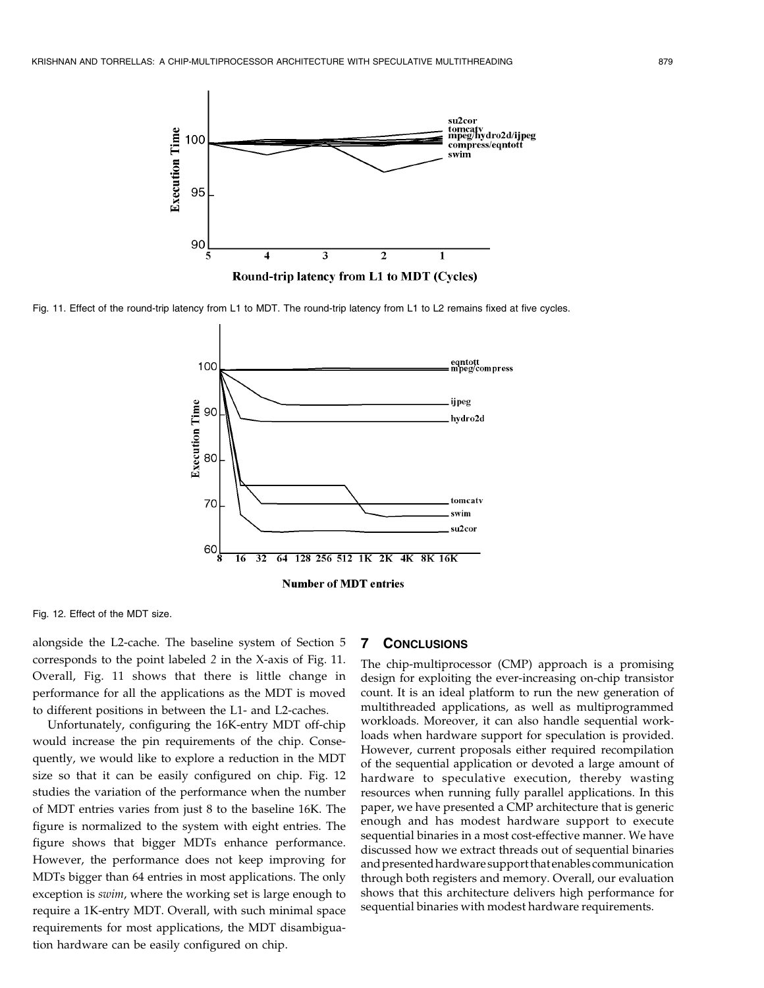

Fig. 11. Effect of the round-trip latency from L1 to MDT. The round-trip latency from L1 to L2 remains fixed at five cycles.



Fig. 12. Effect of the MDT size.

alongside the L2-cache. The baseline system of Section 5 corresponds to the point labeled 2 in the X-axis of Fig. 11. Overall, Fig. 11 shows that there is little change in performance for all the applications as the MDT is moved to different positions in between the L1- and L2-caches.

Unfortunately, configuring the 16K-entry MDT off-chip would increase the pin requirements of the chip. Consequently, we would like to explore a reduction in the MDT size so that it can be easily configured on chip. Fig. 12 studies the variation of the performance when the number of MDT entries varies from just 8 to the baseline 16K. The figure is normalized to the system with eight entries. The figure shows that bigger MDTs enhance performance. However, the performance does not keep improving for MDTs bigger than 64 entries in most applications. The only exception is *swim*, where the working set is large enough to require a 1K-entry MDT. Overall, with such minimal space requirements for most applications, the MDT disambiguation hardware can be easily configured on chip.

# 7 CONCLUSIONS

The chip-multiprocessor (CMP) approach is a promising design for exploiting the ever-increasing on-chip transistor count. It is an ideal platform to run the new generation of multithreaded applications, as well as multiprogrammed workloads. Moreover, it can also handle sequential workloads when hardware support for speculation is provided. However, current proposals either required recompilation of the sequential application or devoted a large amount of hardware to speculative execution, thereby wasting resources when running fully parallel applications. In this paper, we have presented a CMP architecture that is generic enough and has modest hardware support to execute sequential binaries in a most cost-effective manner. We have discussed how we extract threads out of sequential binaries andpresented hardware support thatenables communication through both registers and memory. Overall, our evaluation shows that this architecture delivers high performance for sequential binaries with modest hardware requirements.